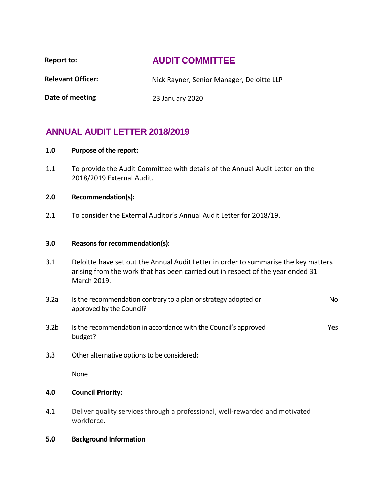| Report to:               | <b>AUDIT COMMITTEE</b>                    |
|--------------------------|-------------------------------------------|
| <b>Relevant Officer:</b> | Nick Rayner, Senior Manager, Deloitte LLP |
| Date of meeting          | 23 January 2020                           |
|                          |                                           |

# **ANNUAL AUDIT LETTER 2018/2019**

### **1.0 Purpose of the report:**

1.1 To provide the Audit Committee with details of the Annual Audit Letter on the 2018/2019 External Audit.

### **2.0 Recommendation(s):**

2.1 To consider the External Auditor's Annual Audit Letter for 2018/19.

### **3.0 Reasons for recommendation(s):**

- 3.1 Deloitte have set out the Annual Audit Letter in order to summarise the key matters arising from the work that has been carried out in respect of the year ended 31 March 2019.
- 3.2a Is the recommendation contrary to a plan or strategy adopted or approved by the Council? No
- 3.2b Is the recommendation in accordance with the Council's approved budget? Yes
- 3.3 Other alternative options to be considered:

None

## **4.0 Council Priority:**

4.1 Deliver quality services through a professional, well-rewarded and motivated workforce.

### **5.0 Background Information**